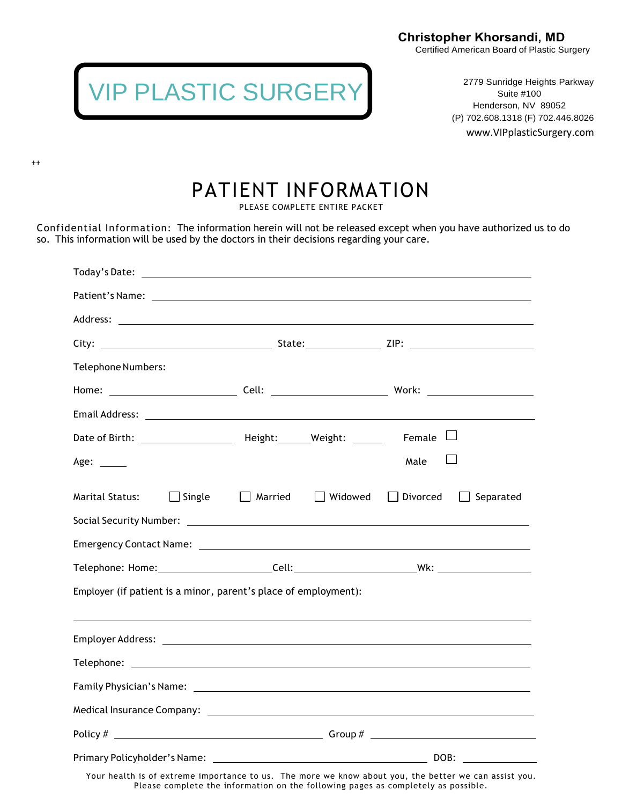Certified American Board of Plastic Surgery



++

2779 Sunridge Heights Parkway Suite #100 Henderson, NV 89052 (P) 702.608.1318 (F) 702.446.8026 www.VIPplasticSurgery.com

## PATIENT INFORMATION

PLEASE COMPLETE ENTIRE PACKET

Confidential Information: The information herein will not be released except when you have authorized us to do so. This information will be used by the doctors in their decisions regarding your care.

| Telephone Numbers:                                                                                                                                                                                                             |                           |                                     |
|--------------------------------------------------------------------------------------------------------------------------------------------------------------------------------------------------------------------------------|---------------------------|-------------------------------------|
|                                                                                                                                                                                                                                |                           |                                     |
|                                                                                                                                                                                                                                |                           |                                     |
| Date of Birth: _________________________ Height: _______Weight: _______                                                                                                                                                        |                           | Female $\Box$                       |
| Age: $\frac{1}{2}$                                                                                                                                                                                                             |                           | Male                                |
| $\Box$ Single<br><b>Marital Status:</b>                                                                                                                                                                                        | Married<br>$\Box$ Widowed | $\Box$ Divorced<br>$\Box$ Separated |
|                                                                                                                                                                                                                                |                           |                                     |
| Emergency Contact Name: example and a series of the series of the series of the series of the series of the series of the series of the series of the series of the series of the series of the series of the series of the se |                           |                                     |
|                                                                                                                                                                                                                                |                           |                                     |
| Employer (if patient is a minor, parent's place of employment):                                                                                                                                                                |                           |                                     |
|                                                                                                                                                                                                                                |                           |                                     |
|                                                                                                                                                                                                                                |                           |                                     |
|                                                                                                                                                                                                                                |                           |                                     |
|                                                                                                                                                                                                                                |                           |                                     |
|                                                                                                                                                                                                                                |                           |                                     |
|                                                                                                                                                                                                                                |                           |                                     |
|                                                                                                                                                                                                                                |                           |                                     |

Your health is of extreme importance to us. The more we know about you, the better we can assist you. Please complete the information on the following pages as completely as possible.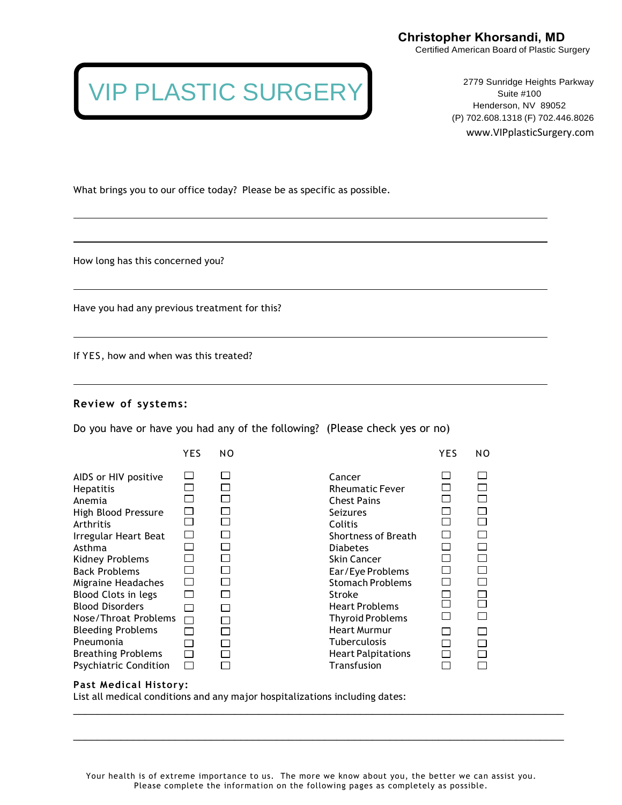Certified American Board of Plastic Surgery

## VIP PLASTIC SURGERY

2779 Sunridge Heights Parkway Suite #100 Henderson, NV 89052 (P) 702.608.1318 (F) 702.446.8026 www.VIPplasticSurgery.com

What brings you to our office today? Please be as specific as possible.

How long has this concerned you?

Have you had any previous treatment for this?

If YES, how and when was this treated?

#### **Review of systems:**

Do you have or have you had any of the following? (Please check yes or no)

|                                                                                                                                                                                                                                                   | YES | NO           |                                                                                                                                                                                                                                               | YES | NO. |
|---------------------------------------------------------------------------------------------------------------------------------------------------------------------------------------------------------------------------------------------------|-----|--------------|-----------------------------------------------------------------------------------------------------------------------------------------------------------------------------------------------------------------------------------------------|-----|-----|
| AIDS or HIV positive<br><b>Hepatitis</b><br>Anemia<br>High Blood Pressure<br>Arthritis<br>Irregular Heart Beat<br>Asthma<br>Kidney Problems<br><b>Back Problems</b><br>Migraine Headaches<br><b>Blood Clots in legs</b><br><b>Blood Disorders</b> |     | $\mathsf{L}$ | Cancer<br><b>Rheumatic Fever</b><br><b>Chest Pains</b><br><b>Seizures</b><br>Colitis<br><b>Shortness of Breath</b><br><b>Diabetes</b><br><b>Skin Cancer</b><br>Ear/Eye Problems<br><b>Stomach Problems</b><br>Stroke<br><b>Heart Problems</b> |     |     |
| Nose/Throat Problems                                                                                                                                                                                                                              |     |              | <b>Thyroid Problems</b>                                                                                                                                                                                                                       |     |     |
| <b>Bleeding Problems</b>                                                                                                                                                                                                                          |     |              | <b>Heart Murmur</b>                                                                                                                                                                                                                           |     |     |
| Pneumonia                                                                                                                                                                                                                                         |     |              | <b>Tuberculosis</b>                                                                                                                                                                                                                           |     |     |
| <b>Breathing Problems</b>                                                                                                                                                                                                                         |     |              | <b>Heart Palpitations</b>                                                                                                                                                                                                                     |     |     |
| <b>Psychiatric Condition</b>                                                                                                                                                                                                                      |     |              | Transfusion                                                                                                                                                                                                                                   |     |     |

#### **Past Medical History:**

List all medical conditions and any major hospitalizations including dates:

\_\_\_\_\_\_\_\_\_\_\_\_\_\_\_\_\_\_\_\_\_\_\_\_\_\_\_\_\_\_\_\_\_\_\_\_\_\_\_\_\_\_\_\_\_\_\_\_\_\_\_\_\_\_\_\_\_\_\_\_\_\_\_\_\_\_\_\_\_\_\_\_\_\_\_\_\_\_\_\_\_\_

\_\_\_\_\_\_\_\_\_\_\_\_\_\_\_\_\_\_\_\_\_\_\_\_\_\_\_\_\_\_\_\_\_\_\_\_\_\_\_\_\_\_\_\_\_\_\_\_\_\_\_\_\_\_\_\_\_\_\_\_\_\_\_\_\_\_\_\_\_\_\_\_\_\_\_\_\_\_\_\_\_\_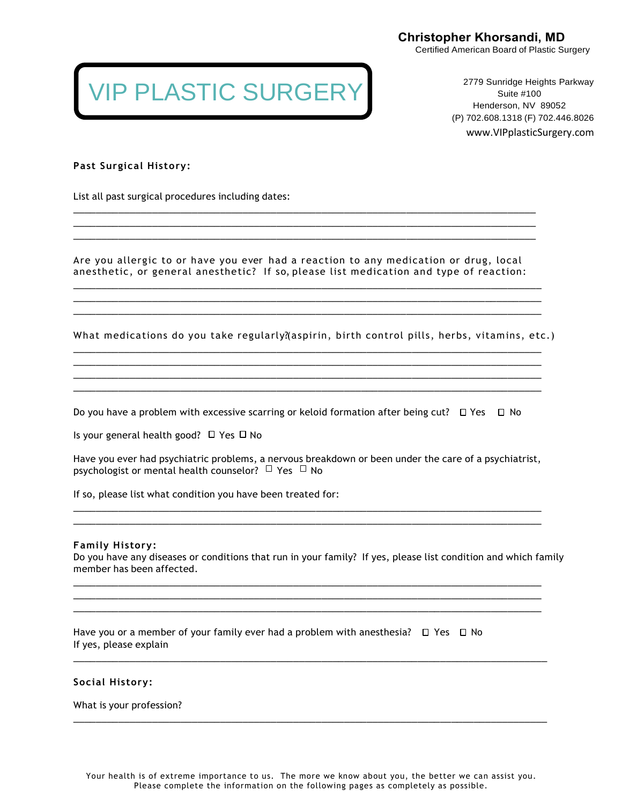Certified American Board of Plastic Surgery

## VIP PLASTIC SURGERY

2779 Sunridge Heights Parkway Suite #100 Henderson, NV 89052 (P) 702.608.1318 (F) 702.446.8026 www.VIPplasticSurgery.com

**Past Surgical History:**

List all past surgical procedures including dates:

Are you allergic to or have you ever had a reaction to any medication or drug, local anesthetic, or general anesthetic? If so, please list medication and type of reaction:

\_\_\_\_\_\_\_\_\_\_\_\_\_\_\_\_\_\_\_\_\_\_\_\_\_\_\_\_\_\_\_\_\_\_\_\_\_\_\_\_\_\_\_\_\_\_\_\_\_\_\_\_\_\_\_\_\_\_\_\_\_\_\_\_\_\_\_\_\_\_\_\_\_\_\_\_\_\_\_\_\_\_\_ \_\_\_\_\_\_\_\_\_\_\_\_\_\_\_\_\_\_\_\_\_\_\_\_\_\_\_\_\_\_\_\_\_\_\_\_\_\_\_\_\_\_\_\_\_\_\_\_\_\_\_\_\_\_\_\_\_\_\_\_\_\_\_\_\_\_\_\_\_\_\_\_\_\_\_\_\_\_\_\_\_\_\_ \_\_\_\_\_\_\_\_\_\_\_\_\_\_\_\_\_\_\_\_\_\_\_\_\_\_\_\_\_\_\_\_\_\_\_\_\_\_\_\_\_\_\_\_\_\_\_\_\_\_\_\_\_\_\_\_\_\_\_\_\_\_\_\_\_\_\_\_\_\_\_\_\_\_\_\_\_\_\_\_\_\_\_

\_\_\_\_\_\_\_\_\_\_\_\_\_\_\_\_\_\_\_\_\_\_\_\_\_\_\_\_\_\_\_\_\_\_\_\_\_\_\_\_\_\_\_\_\_\_\_\_\_\_\_\_\_\_\_\_\_\_\_\_\_\_\_\_\_\_\_\_\_\_\_\_\_\_\_\_\_\_\_\_\_\_ \_\_\_\_\_\_\_\_\_\_\_\_\_\_\_\_\_\_\_\_\_\_\_\_\_\_\_\_\_\_\_\_\_\_\_\_\_\_\_\_\_\_\_\_\_\_\_\_\_\_\_\_\_\_\_\_\_\_\_\_\_\_\_\_\_\_\_\_\_\_\_\_\_\_\_\_\_\_\_\_\_\_ \_\_\_\_\_\_\_\_\_\_\_\_\_\_\_\_\_\_\_\_\_\_\_\_\_\_\_\_\_\_\_\_\_\_\_\_\_\_\_\_\_\_\_\_\_\_\_\_\_\_\_\_\_\_\_\_\_\_\_\_\_\_\_\_\_\_\_\_\_\_\_\_\_\_\_\_\_\_\_\_\_\_

What medications do you take regularly?(aspirin, birth control pills, herbs, vitamins, etc.)

\_\_\_\_\_\_\_\_\_\_\_\_\_\_\_\_\_\_\_\_\_\_\_\_\_\_\_\_\_\_\_\_\_\_\_\_\_\_\_\_\_\_\_\_\_\_\_\_\_\_\_\_\_\_\_\_\_\_\_\_\_\_\_\_\_\_\_\_\_\_\_\_\_\_\_\_\_\_\_\_\_\_\_ \_\_\_\_\_\_\_\_\_\_\_\_\_\_\_\_\_\_\_\_\_\_\_\_\_\_\_\_\_\_\_\_\_\_\_\_\_\_\_\_\_\_\_\_\_\_\_\_\_\_\_\_\_\_\_\_\_\_\_\_\_\_\_\_\_\_\_\_\_\_\_\_\_\_\_\_\_\_\_\_\_\_\_

\_\_\_\_\_\_\_\_\_\_\_\_\_\_\_\_\_\_\_\_\_\_\_\_\_\_\_\_\_\_\_\_\_\_\_\_\_\_\_\_\_\_\_\_\_\_\_\_\_\_\_\_\_\_\_\_\_\_\_\_\_\_\_\_\_\_\_\_\_\_\_\_\_\_\_\_\_\_\_\_\_\_\_

Do you have a problem with excessive scarring or keloid formation after being cut?  $\Box$  Yes  $\Box$  No

Is your general health good?  $\Box$  Yes  $\Box$  No

Have you ever had psychiatric problems, a nervous breakdown or been under the care of a psychiatrist, psychologist or mental health counselor?  $\Box$  Yes  $\Box$  No

\_\_\_\_\_\_\_\_\_\_\_\_\_\_\_\_\_\_\_\_\_\_\_\_\_\_\_\_\_\_\_\_\_\_\_\_\_\_\_\_\_\_\_\_\_\_\_\_\_\_\_\_\_\_\_\_\_\_\_\_\_\_\_\_\_\_\_\_\_\_\_\_\_\_\_\_\_\_\_\_\_\_\_ \_\_\_\_\_\_\_\_\_\_\_\_\_\_\_\_\_\_\_\_\_\_\_\_\_\_\_\_\_\_\_\_\_\_\_\_\_\_\_\_\_\_\_\_\_\_\_\_\_\_\_\_\_\_\_\_\_\_\_\_\_\_\_\_\_\_\_\_\_\_\_\_\_\_\_\_\_\_\_\_\_\_\_

\_\_\_\_\_\_\_\_\_\_\_\_\_\_\_\_\_\_\_\_\_\_\_\_\_\_\_\_\_\_\_\_\_\_\_\_\_\_\_\_\_\_\_\_\_\_\_\_\_\_\_\_\_\_\_\_\_\_\_\_\_\_\_\_\_\_\_\_\_\_\_\_\_\_\_\_\_\_\_\_\_\_\_ \_\_\_\_\_\_\_\_\_\_\_\_\_\_\_\_\_\_\_\_\_\_\_\_\_\_\_\_\_\_\_\_\_\_\_\_\_\_\_\_\_\_\_\_\_\_\_\_\_\_\_\_\_\_\_\_\_\_\_\_\_\_\_\_\_\_\_\_\_\_\_\_\_\_\_\_\_\_\_\_\_\_\_ \_\_\_\_\_\_\_\_\_\_\_\_\_\_\_\_\_\_\_\_\_\_\_\_\_\_\_\_\_\_\_\_\_\_\_\_\_\_\_\_\_\_\_\_\_\_\_\_\_\_\_\_\_\_\_\_\_\_\_\_\_\_\_\_\_\_\_\_\_\_\_\_\_\_\_\_\_\_\_\_\_\_\_

\_\_\_\_\_\_\_\_\_\_\_\_\_\_\_\_\_\_\_\_\_\_\_\_\_\_\_\_\_\_\_\_\_\_\_\_\_\_\_\_\_\_\_\_\_\_\_\_\_\_\_\_\_\_\_\_\_\_\_\_\_\_\_\_\_\_\_\_\_\_\_\_\_\_\_\_\_\_\_\_\_\_\_\_

\_\_\_\_\_\_\_\_\_\_\_\_\_\_\_\_\_\_\_\_\_\_\_\_\_\_\_\_\_\_\_\_\_\_\_\_\_\_\_\_\_\_\_\_\_\_\_\_\_\_\_\_\_\_\_\_\_\_\_\_\_\_\_\_\_\_\_\_\_\_\_\_\_\_\_\_\_\_\_\_\_\_\_\_

If so, please list what condition you have been treated for:

#### **Family History:**

Do you have any diseases or conditions that run in your family? If yes, please list condition and which family member has been affected.

Have you or a member of your family ever had a problem with anesthesia?  $\Box$  Yes  $\Box$  No If yes, please explain

#### **Social History:**

What is your profession?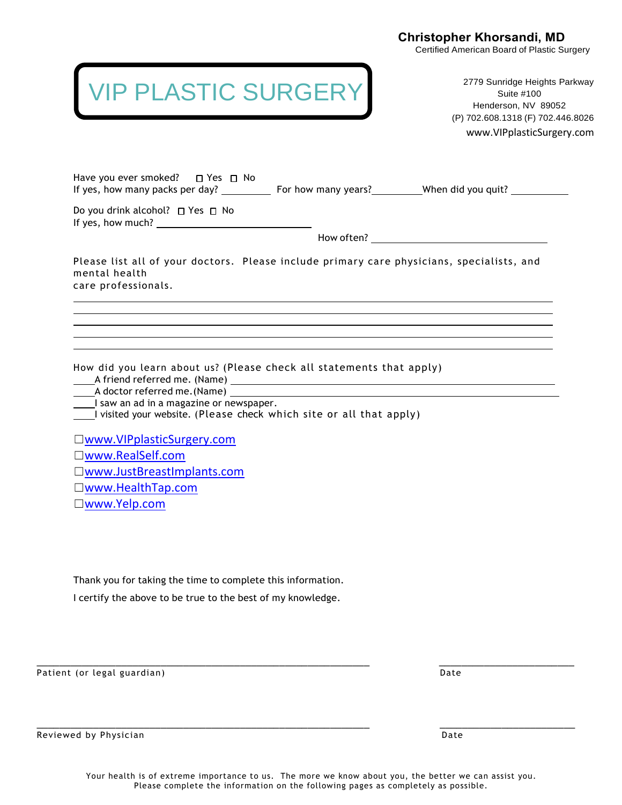Certified American Board of Plastic Surgery

## VIP PLASTIC SURGERY

2779 Sunridge Heights Parkway Suite #100 Henderson, NV 89052 (P) 702.608.1318 (F) 702.446.8026

www.VIPplasticSurgery.com

| Do you drink alcohol? □ Yes □ No<br>If yes, how much? $\sqrt{ }$                                                                                                                                                                                                                                                                  |  |
|-----------------------------------------------------------------------------------------------------------------------------------------------------------------------------------------------------------------------------------------------------------------------------------------------------------------------------------|--|
|                                                                                                                                                                                                                                                                                                                                   |  |
| Please list all of your doctors. Please include primary care physicians, specialists, and<br>mental health<br>care professionals.                                                                                                                                                                                                 |  |
| How did you learn about us? (Please check all statements that apply)<br>I saw an ad in a magazine or newspaper.<br>I visited your website. (Please check which site or all that apply)<br>□www.VIPplasticSurgery.com<br>□www.RealSelf.com<br>□www.JustBreastImplants.com<br>$\square$ www.HealthTap.com<br>$\square$ www.Yelp.com |  |
| Thank you for taking the time to complete this information.<br>I certify the above to be true to the best of my knowledge.                                                                                                                                                                                                        |  |
|                                                                                                                                                                                                                                                                                                                                   |  |

Reviewed by Physician Date and Date of the Control of the Control of the Date of the Date of the Date of the Date of the Date of the Date of the Date of the Date of the Date of the Date of the Date of the Date of the Date

\_\_\_\_\_\_\_\_\_\_\_\_\_\_\_\_\_\_\_\_\_\_\_\_\_\_\_\_\_\_\_\_\_\_\_\_\_\_\_\_\_\_\_\_\_\_\_\_\_\_\_\_\_\_\_\_\_\_\_ \_\_\_\_\_\_\_\_\_\_\_\_\_\_\_\_\_\_\_\_\_\_\_\_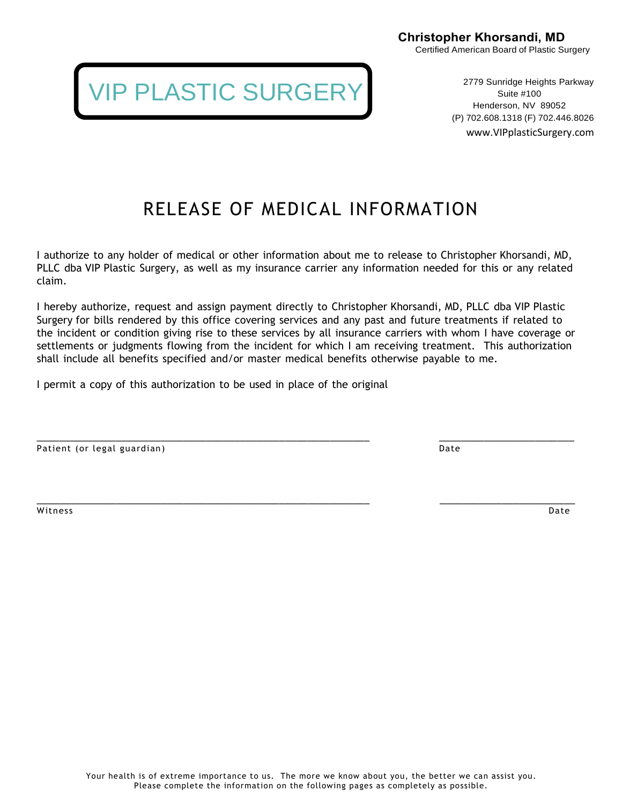> 2779 Sunridge Heights Parkway Suite #100 Henderson, NV 89052 (P) 702.608.1318 (F) 702.446.8026 www.VIPplasticSurgery.com

RELEASE OF MEDICAL INFORMATION

I authorize to any holder of medical or other information about me to release to Christopher Khorsandi, MD, PLLC dba VIP Plastic Surgery, as well as my insurance carrier any information needed for this or any related claim.

I hereby authorize, request and assign payment directly to Christopher Khorsandi, MD, PLLC dba VIP Plastic Surgery for bills rendered by this office covering services and any past and future treatments if related to the incident or condition giving rise to these services by all insurance carriers with whom I have coverage or settlements or judgments flowing from the incident for which I am receiving treatment. This authorization shall include all benefits specified and/or master medical benefits otherwise payable to me.

\_\_\_\_\_\_\_\_\_\_\_\_\_\_\_\_\_\_\_\_\_\_\_\_\_\_\_\_\_\_\_\_\_\_\_\_\_\_\_\_\_\_\_\_\_\_\_\_\_\_\_\_\_\_\_\_\_\_\_ \_\_\_\_\_\_\_\_\_\_\_\_\_\_\_\_\_\_\_\_\_\_\_\_

I permit a copy of this authorization to be used in place of the original

Patient (or legal guardian) and the control of the control of the control of the control of the control of the control of the control of the control of the control of the control of the control of the control of the contro

witness **Date** 

\_\_\_\_\_\_\_\_\_\_\_\_\_\_\_\_\_\_\_\_\_\_\_\_\_\_\_\_\_\_\_\_\_\_\_\_\_\_\_\_\_\_\_\_\_\_\_\_\_\_\_\_\_\_\_\_\_\_\_ \_\_\_\_\_\_\_\_\_\_\_\_\_\_\_\_\_\_\_\_\_\_\_\_

IP PLASTIC SURGERY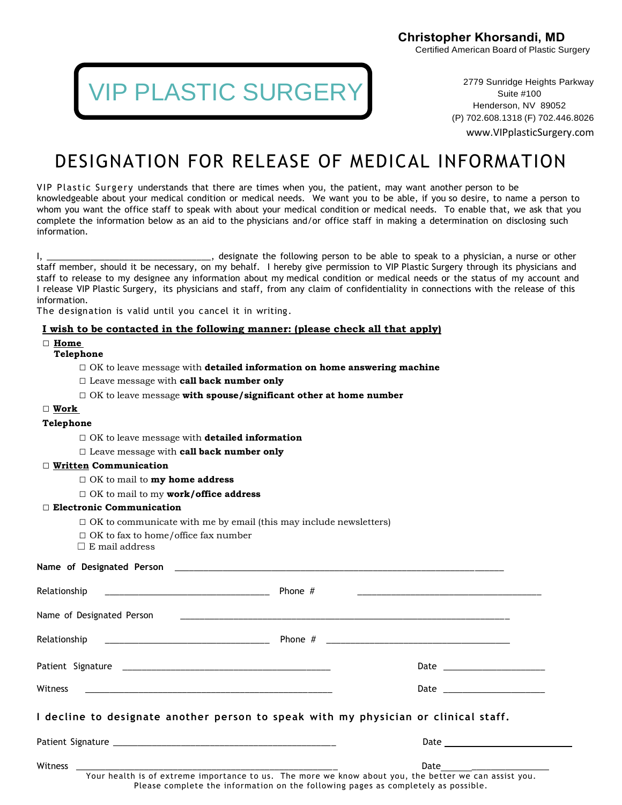**IP PLASTIC SURGERY** 

2779 Sunridge Heights Parkway Suite #100 Henderson, NV 89052 (P) 702.608.1318 (F) 702.446.8026

www.VIPplasticSurgery.com

### DESIGNATION FOR RELEASE OF MEDICAL INFORMATION

VIP Plastic Surgery understands that there are times when you, the patient, may want another person to be knowledgeable about your medical condition or medical needs. We want you to be able, if you so desire, to name a person to whom you want the office staff to speak with about your medical condition or medical needs. To enable that, we ask that you complete the information below as an aid to the physicians and/or office staff in making a determination on disclosing such information.

I, \_\_\_\_\_\_\_\_\_\_\_\_\_\_\_\_\_\_\_\_\_\_\_\_\_\_\_\_\_\_\_\_, designate the following person to be able to speak to a physician, a nurse or other staff member, should it be necessary, on my behalf. I hereby give permission to VIP Plastic Surgery through its physicians and staff to release to my designee any information about my medical condition or medical needs or the status of my account and I release VIP Plastic Surgery, its physicians and staff, from any claim of confidentiality in connections with the release of this information.

The designation is valid until you cancel it in writing.

#### **I wish to be contacted in the following manner: (please check all that apply)**

#### **□ Home**

#### **Telephone**

- □ OK to leave message with **detailed information on home answering machine**
- □ Leave message with **call back number only**
- □ OK to leave message **with spouse/significant other at home number**

#### □ **Work**

#### **Telephone**

□ OK to leave message with **detailed information**

#### □ Leave message with **call back number only**

#### □ **Written Communication**

- □ OK to mail to **my home address**
- □ OK to mail to my **work/office address**

#### □ **Electronic Communication**

- $\Box$  OK to communicate with me by email (this may include newsletters)
- □ OK to fax to home/office fax number
- $\square$  E mail address

**Name of Designated Person** \_\_\_\_\_\_\_\_\_\_\_\_\_\_\_\_\_\_\_\_\_\_\_\_\_\_\_\_\_\_\_\_\_\_\_\_\_\_\_\_\_\_\_\_\_\_\_\_\_\_\_\_\_\_\_\_\_\_\_\_\_\_\_\_\_\_\_\_

| [3]                                                                                 |                                                                                                                    |
|-------------------------------------------------------------------------------------|--------------------------------------------------------------------------------------------------------------------|
|                                                                                     | <u> 1980 - Jan James James James James James James James James James James James James James James James James</u> |
|                                                                                     |                                                                                                                    |
|                                                                                     |                                                                                                                    |
|                                                                                     |                                                                                                                    |
|                                                                                     |                                                                                                                    |
| I decline to designate another person to speak with my physician or clinical staff. |                                                                                                                    |
|                                                                                     |                                                                                                                    |
|                                                                                     | Date ____________________                                                                                          |
|                                                                                     | Your health is of extreme importance to us. The more we know about you, the better we can assist you.              |

Please complete the information on the following pages as completely as possible.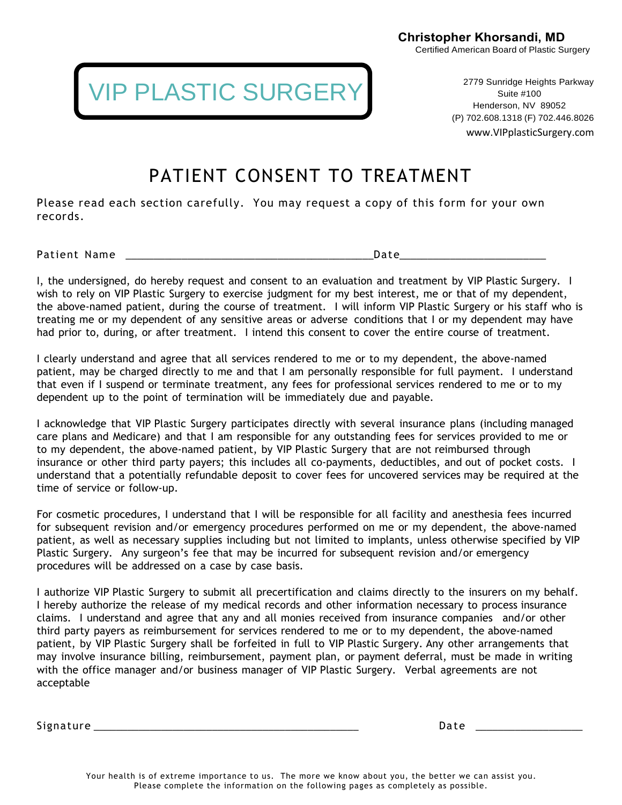VIP PLASTIC SURGERY

2779 Sunridge Heights Parkway Suite #100 Henderson, NV 89052 (P) 702.608.1318 (F) 702.446.8026 www.VIPplasticSurgery.com

### PATIENT CONSENT TO TREATMENT

Please read each section carefully. You may request a copy of this form for your own records.

Patient Name \_\_\_\_\_\_\_\_\_\_\_\_\_\_\_\_\_\_\_\_\_\_\_\_\_\_\_\_\_\_\_\_\_\_\_\_\_\_\_\_\_\_\_\_Date\_\_\_\_\_\_\_\_\_\_\_\_\_\_\_\_\_\_\_\_\_\_\_\_\_\_

I, the undersigned, do hereby request and consent to an evaluation and treatment by VIP Plastic Surgery. I wish to rely on VIP Plastic Surgery to exercise judgment for my best interest, me or that of my dependent, the above-named patient, during the course of treatment. I will inform VIP Plastic Surgery or his staff who is treating me or my dependent of any sensitive areas or adverse conditions that I or my dependent may have had prior to, during, or after treatment. I intend this consent to cover the entire course of treatment.

I clearly understand and agree that all services rendered to me or to my dependent, the above-named patient, may be charged directly to me and that I am personally responsible for full payment. I understand that even if I suspend or terminate treatment, any fees for professional services rendered to me or to my dependent up to the point of termination will be immediately due and payable.

I acknowledge that VIP Plastic Surgery participates directly with several insurance plans (including managed care plans and Medicare) and that I am responsible for any outstanding fees for services provided to me or to my dependent, the above-named patient, by VIP Plastic Surgery that are not reimbursed through insurance or other third party payers; this includes all co-payments, deductibles, and out of pocket costs. I understand that a potentially refundable deposit to cover fees for uncovered services may be required at the time of service or follow-up.

For cosmetic procedures, I understand that I will be responsible for all facility and anesthesia fees incurred for subsequent revision and/or emergency procedures performed on me or my dependent, the above-named patient, as well as necessary supplies including but not limited to implants, unless otherwise specified by VIP Plastic Surgery. Any surgeon's fee that may be incurred for subsequent revision and/or emergency procedures will be addressed on a case by case basis.

I authorize VIP Plastic Surgery to submit all precertification and claims directly to the insurers on my behalf. I hereby authorize the release of my medical records and other information necessary to process insurance claims. I understand and agree that any and all monies received from insurance companies and/or other third party payers as reimbursement for services rendered to me or to my dependent, the above-named patient, by VIP Plastic Surgery shall be forfeited in full to VIP Plastic Surgery. Any other arrangements that may involve insurance billing, reimbursement, payment plan, or payment deferral, must be made in writing with the office manager and/or business manager of VIP Plastic Surgery. Verbal agreements are not acceptable

Signature \_\_\_\_\_\_\_\_\_\_\_\_\_\_\_\_\_\_\_\_\_\_\_\_\_\_\_\_\_\_\_\_\_\_\_\_\_\_\_\_\_\_\_\_\_\_\_ Da te \_\_\_\_\_\_\_\_\_\_\_\_\_\_\_\_\_\_\_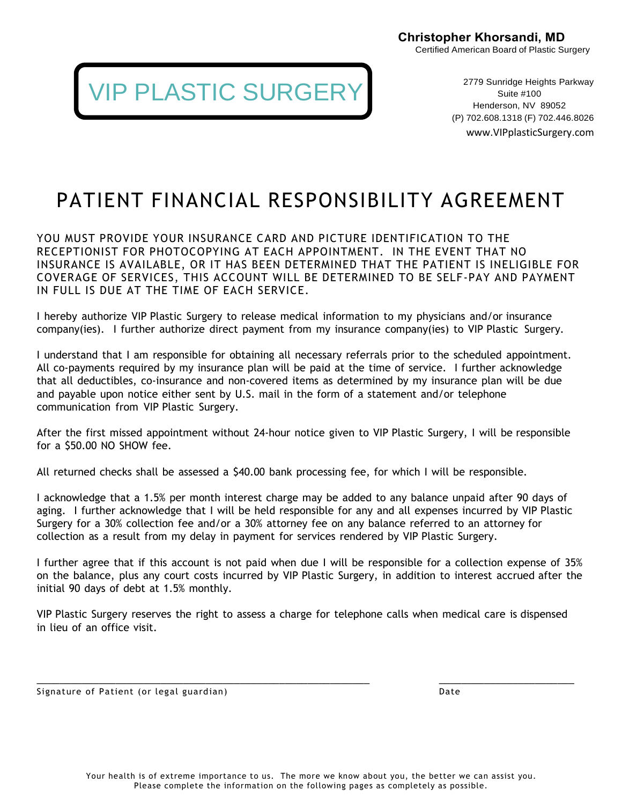

2779 Sunridge Heights Parkway Suite #100 Henderson, NV 89052 (P) 702.608.1318 (F) 702.446.8026 www.VIPplasticSurgery.com

## PATIENT FINANCIAL RESPONSIBILITY AGREEMENT

YOU MUST PROVIDE YOUR INSURANCE CARD AND PICTURE IDENTIFICATION TO THE RECEPTIONIST FOR PHOTOCOPYING AT EACH APPOINTMENT. IN THE EVENT THAT NO INSURANCE IS AVAILABLE, OR IT HAS BEEN DETERMINED THAT THE PATIENT IS INELIGIBLE FOR COVERAGE OF SERVICES, THIS ACCOUNT WILL BE DETERMINED TO BE SELF-PAY AND PAYMENT IN FULL IS DUE AT THE TIME OF EACH SERVICE.

I hereby authorize VIP Plastic Surgery to release medical information to my physicians and/or insurance company(ies). I further authorize direct payment from my insurance company(ies) to VIP Plastic Surgery.

I understand that I am responsible for obtaining all necessary referrals prior to the scheduled appointment. All co-payments required by my insurance plan will be paid at the time of service. I further acknowledge that all deductibles, co-insurance and non-covered items as determined by my insurance plan will be due and payable upon notice either sent by U.S. mail in the form of a statement and/or telephone communication from VIP Plastic Surgery.

After the first missed appointment without 24-hour notice given to VIP Plastic Surgery, I will be responsible for a \$50.00 NO SHOW fee.

All returned checks shall be assessed a \$40.00 bank processing fee, for which I will be responsible.

I acknowledge that a 1.5% per month interest charge may be added to any balance unpaid after 90 days of aging. I further acknowledge that I will be held responsible for any and all expenses incurred by VIP Plastic Surgery for a 30% collection fee and/or a 30% attorney fee on any balance referred to an attorney for collection as a result from my delay in payment for services rendered by VIP Plastic Surgery.

I further agree that if this account is not paid when due I will be responsible for a collection expense of 35% on the balance, plus any court costs incurred by VIP Plastic Surgery, in addition to interest accrued after the initial 90 days of debt at 1.5% monthly.

VIP Plastic Surgery reserves the right to assess a charge for telephone calls when medical care is dispensed in lieu of an office visit.

\_\_\_\_\_\_\_\_\_\_\_\_\_\_\_\_\_\_\_\_\_\_\_\_\_\_\_\_\_\_\_\_\_\_\_\_\_\_\_\_\_\_\_\_\_\_\_\_\_\_\_\_\_\_\_\_\_\_\_ \_\_\_\_\_\_\_\_\_\_\_\_\_\_\_\_\_\_\_\_\_\_\_\_

Signature of Patient (or legal guardian) and the control of the Date of Patient Date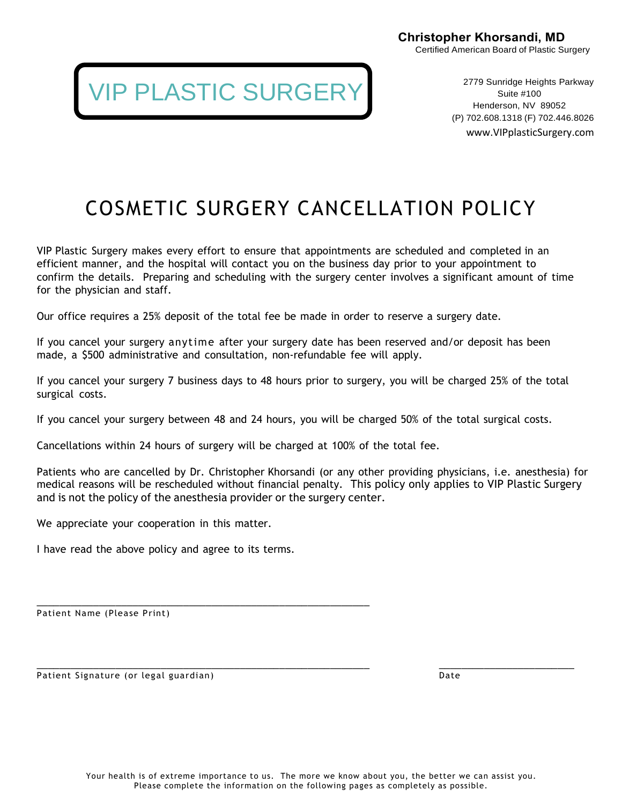2779 Sunridge Heights Parkway Suite #100 Henderson, NV 89052 (P) 702.608.1318 (F) 702.446.8026 www.VIPplasticSurgery.com

### COSMETIC SURGERY CANCELLATION POLICY

VIP Plastic Surgery makes every effort to ensure that appointments are scheduled and completed in an efficient manner, and the hospital will contact you on the business day prior to your appointment to confirm the details. Preparing and scheduling with the surgery center involves a significant amount of time for the physician and staff.

Our office requires a 25% deposit of the total fee be made in order to reserve a surgery date.

If you cancel your surgery anytime after your surgery date has been reserved and/or deposit has been made, a \$500 administrative and consultation, non-refundable fee will apply.

If you cancel your surgery 7 business days to 48 hours prior to surgery, you will be charged 25% of the total surgical costs.

If you cancel your surgery between 48 and 24 hours, you will be charged 50% of the total surgical costs.

Cancellations within 24 hours of surgery will be charged at 100% of the total fee.

IP PLASTIC SURGERY

Patients who are cancelled by Dr. Christopher Khorsandi (or any other providing physicians, i.e. anesthesia) for medical reasons will be rescheduled without financial penalty. This policy only applies to VIP Plastic Surgery and is not the policy of the anesthesia provider or the surgery center.

We appreciate your cooperation in this matter.

I have read the above policy and agree to its terms.

\_\_\_\_\_\_\_\_\_\_\_\_\_\_\_\_\_\_\_\_\_\_\_\_\_\_\_\_\_\_\_\_\_\_\_\_\_\_\_\_\_\_\_\_\_\_\_\_\_\_\_\_\_\_\_\_\_\_\_

Patient Name (Please Print)

Patient Signature (or legal guardian) Date by the control of the Date of Date of the Date of Date of the Date of Date of the Date of the Date of the Date of the Date of the Date of the Date of the Date of the Date of the D

\_\_\_\_\_\_\_\_\_\_\_\_\_\_\_\_\_\_\_\_\_\_\_\_\_\_\_\_\_\_\_\_\_\_\_\_\_\_\_\_\_\_\_\_\_\_\_\_\_\_\_\_\_\_\_\_\_\_\_ \_\_\_\_\_\_\_\_\_\_\_\_\_\_\_\_\_\_\_\_\_\_\_\_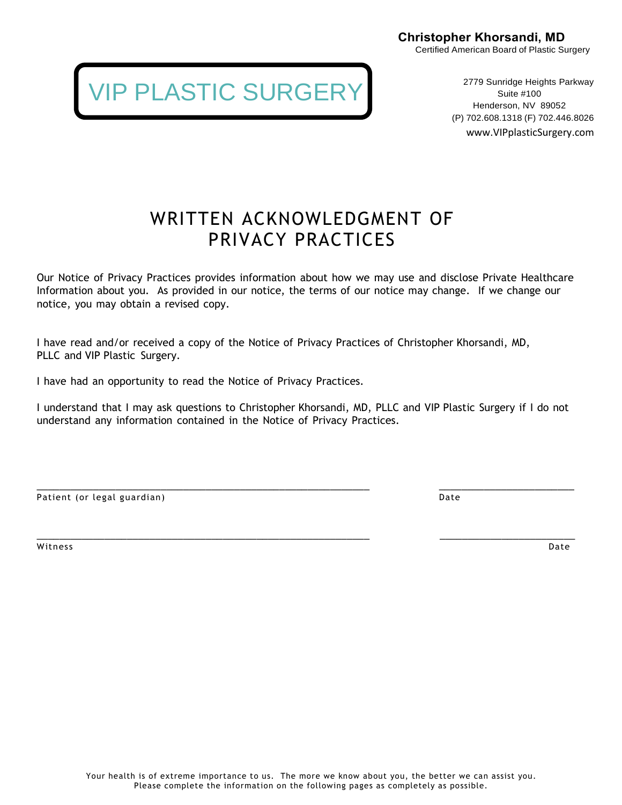> 2779 Sunridge Heights Parkway Suite #100 Henderson, NV 89052 (P) 702.608.1318 (F) 702.446.8026 www.VIPplasticSurgery.com

### WRITTEN ACKNOWLEDGMENT OF PRIVACY PRACTICES

Our Notice of Privacy Practices provides information about how we may use and disclose Private Healthcare Information about you. As provided in our notice, the terms of our notice may change. If we change our notice, you may obtain a revised copy.

I have read and/or received a copy of the Notice of Privacy Practices of Christopher Khorsandi, MD, PLLC and VIP Plastic Surgery.

I have had an opportunity to read the Notice of Privacy Practices.

I understand that I may ask questions to Christopher Khorsandi, MD, PLLC and VIP Plastic Surgery if I do not understand any information contained in the Notice of Privacy Practices.

| Patient (or legal guardian) |  |
|-----------------------------|--|

\_\_\_\_\_\_\_\_\_\_\_\_\_\_\_\_\_\_\_\_\_\_\_\_\_\_\_\_\_\_\_\_\_\_\_\_\_\_\_\_\_\_\_\_\_\_\_\_\_\_\_\_\_\_\_\_\_\_\_ \_\_\_\_\_\_\_\_\_\_\_\_\_\_\_\_\_\_\_\_\_\_\_\_ witness **Date** 

## IP PLASTIC SURGERY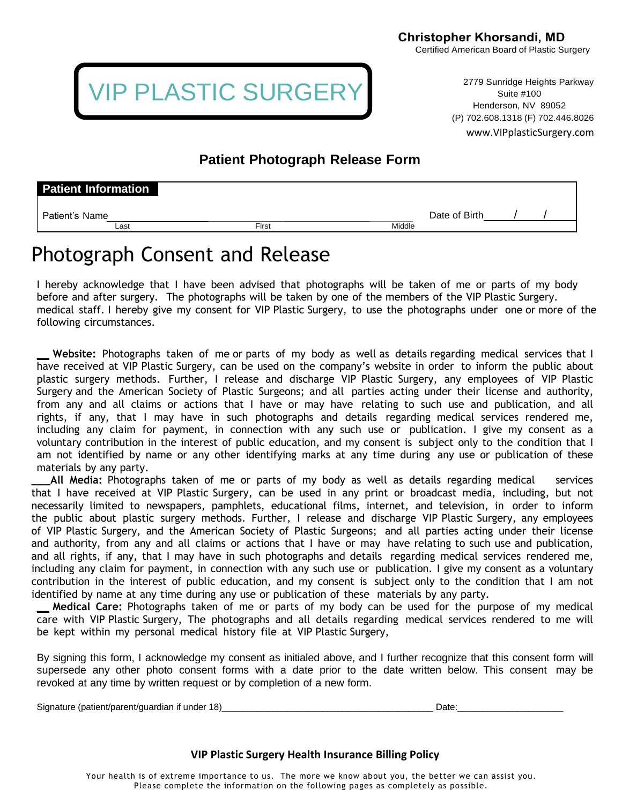

2779 Sunridge Heights Parkway Suite #100 Henderson, NV 89052 (P) 702.608.1318 (F) 702.446.8026

www.VIPplasticSurgery.com

### **Patient Photograph Release Form**

| <b>Patient Information</b> |      |       |        |               |  |
|----------------------------|------|-------|--------|---------------|--|
| Patient's Name             |      |       |        | Date of Birth |  |
|                            | Last | First | Middle |               |  |

### Photograph Consent and Release

I hereby acknowledge that I have been advised that photographs will be taken of me or parts of my body before and after surgery. The photographs will be taken by one of the members of the VIP Plastic Surgery. medical staff. I hereby give my consent for VIP Plastic Surgery, to use the photographs under one or more of the following circumstances.

**\_\_ Website:** Photographs taken of me or parts of my body as well as details regarding medical services that I have received at VIP Plastic Surgery, can be used on the company's website in order to inform the public about plastic surgery methods. Further, I release and discharge VIP Plastic Surgery, any employees of VIP Plastic Surgery and the American Society of Plastic Surgeons; and all parties acting under their license and authority, from any and all claims or actions that I have or may have relating to such use and publication, and all rights, if any, that I may have in such photographs and details regarding medical services rendered me, including any claim for payment, in connection with any such use or publication. I give my consent as a voluntary contribution in the interest of public education, and my consent is subject only to the condition that I am not identified by name or any other identifying marks at any time during any use or publication of these materials by any party.

**\_\_\_All Media:** Photographs taken of me or parts of my body as well as details regarding medical services that I have received at VIP Plastic Surgery, can be used in any print or broadcast media, including, but not necessarily limited to newspapers, pamphlets, educational films, internet, and television, in order to inform the public about plastic surgery methods. Further, I release and discharge VIP Plastic Surgery, any employees of VIP Plastic Surgery, and the American Society of Plastic Surgeons; and all parties acting under their license and authority, from any and all claims or actions that I have or may have relating to such use and publication, and all rights, if any, that I may have in such photographs and details regarding medical services rendered me, including any claim for payment, in connection with any such use or publication. I give my consent as a voluntary contribution in the interest of public education, and my consent is subject only to the condition that I am not identified by name at any time during any use or publication of these materials by any party.

**\_\_ Medical Care:** Photographs taken of me or parts of my body can be used for the purpose of my medical care with VIP Plastic Surgery, The photographs and all details regarding medical services rendered to me will be kept within my personal medical history file at VIP Plastic Surgery,

By signing this form, I acknowledge my consent as initialed above, and I further recognize that this consent form will supersede any other photo consent forms with a date prior to the date written below. This consent may be revoked at any time by written request or by completion of a new form.

Signature (patient/parent/guardian if under 18)\_\_\_\_\_\_\_\_\_\_\_\_\_\_\_\_\_\_\_\_\_\_\_\_\_\_\_\_\_\_\_\_\_\_\_\_\_\_\_\_\_\_ Date:\_\_\_\_\_\_\_\_\_\_\_\_\_\_\_\_\_\_\_\_\_

#### **VIP Plastic Surgery Health Insurance Billing Policy**

Your health is of extreme importance to us. The more we know about you, the better we can assist you. Please complete the information on the following pages as completely as possible.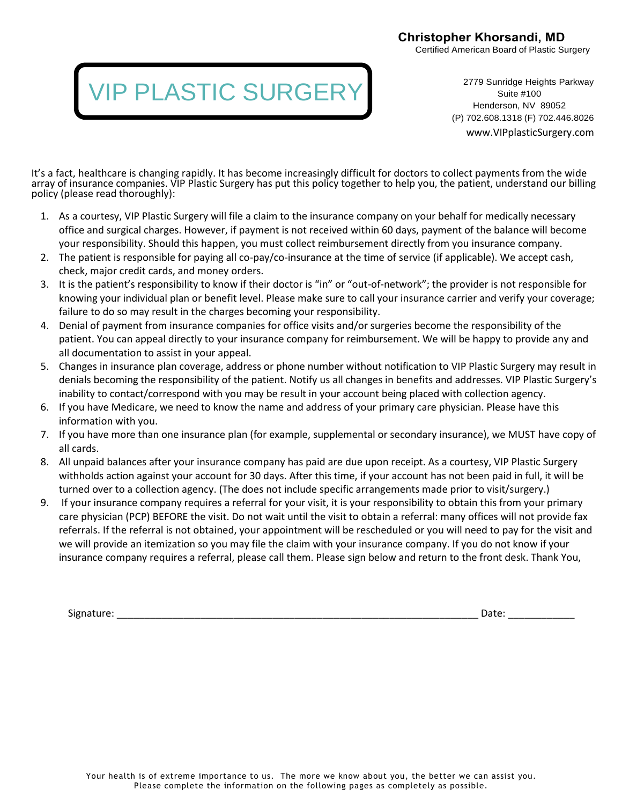Certified American Board of Plastic Surgery

## VIP PLASTIC SURGERY

2779 Sunridge Heights Parkway Suite #100 Henderson, NV 89052 (P) 702.608.1318 (F) 702.446.8026

www.VIPplasticSurgery.com

It's a fact, healthcare is changing rapidly. It has become increasingly difficult for doctors to collect payments from the wide array of insurance companies. VIP Plastic Surgery has put this policy together to help you, the patient, understand our billing policy (please read thoroughly):

- 1. As a courtesy, VIP Plastic Surgery will file a claim to the insurance company on your behalf for medically necessary office and surgical charges. However, if payment is not received within 60 days, payment of the balance will become your responsibility. Should this happen, you must collect reimbursement directly from you insurance company.
- 2. The patient is responsible for paying all co-pay/co-insurance at the time of service (if applicable). We accept cash, check, major credit cards, and money orders.
- 3. It is the patient's responsibility to know if their doctor is "in" or "out-of-network"; the provider is not responsible for knowing your individual plan or benefit level. Please make sure to call your insurance carrier and verify your coverage; failure to do so may result in the charges becoming your responsibility.
- 4. Denial of payment from insurance companies for office visits and/or surgeries become the responsibility of the patient. You can appeal directly to your insurance company for reimbursement. We will be happy to provide any and all documentation to assist in your appeal.
- 5. Changes in insurance plan coverage, address or phone number without notification to VIP Plastic Surgery may result in denials becoming the responsibility of the patient. Notify us all changes in benefits and addresses. VIP Plastic Surgery's inability to contact/correspond with you may be result in your account being placed with collection agency.
- 6. If you have Medicare, we need to know the name and address of your primary care physician. Please have this information with you.
- 7. If you have more than one insurance plan (for example, supplemental or secondary insurance), we MUST have copy of all cards.
- 8. All unpaid balances after your insurance company has paid are due upon receipt. As a courtesy, VIP Plastic Surgery withholds action against your account for 30 days. After this time, if your account has not been paid in full, it will be turned over to a collection agency. (The does not include specific arrangements made prior to visit/surgery.)
- 9. If your insurance company requires a referral for your visit, it is your responsibility to obtain this from your primary care physician (PCP) BEFORE the visit. Do not wait until the visit to obtain a referral: many offices will not provide fax referrals. If the referral is not obtained, your appointment will be rescheduled or you will need to pay for the visit and we will provide an itemization so you may file the claim with your insurance company. If you do not know if your insurance company requires a referral, please call them. Please sign below and return to the front desk. Thank You,

Signature: \_\_\_\_\_\_\_\_\_\_\_\_\_\_\_\_\_\_\_\_\_\_\_\_\_\_\_\_\_\_\_\_\_\_\_\_\_\_\_\_\_\_\_\_\_\_\_\_\_\_\_\_\_\_\_\_\_\_\_\_\_\_\_\_\_ Date: \_\_\_\_\_\_\_\_\_\_\_\_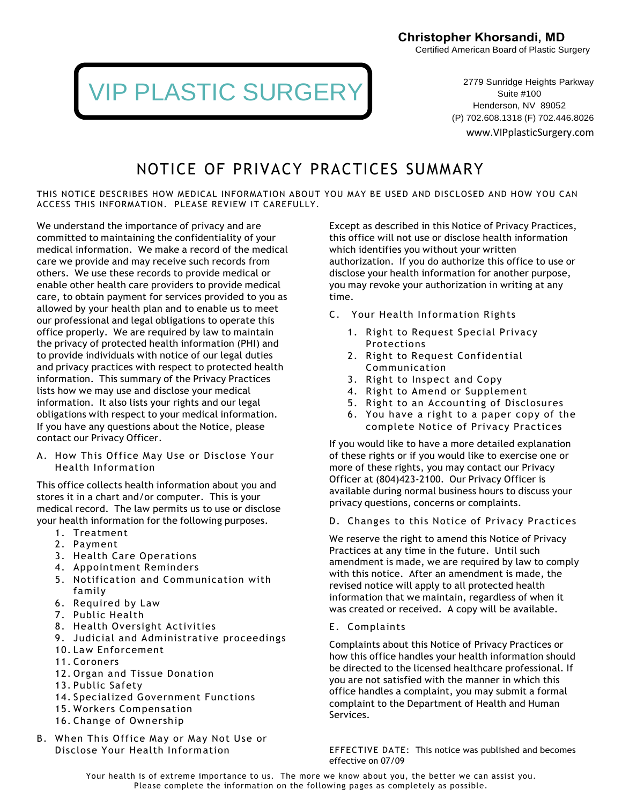Certified American Board of Plastic Surgery

## VIP PLASTIC SURGERY

2779 Sunridge Heights Parkway Suite #100 Henderson, NV 89052 (P) 702.608.1318 (F) 702.446.8026

www.VIPplasticSurgery.com

### NOTICE OF PRIVACY PRACTICES SUMMARY

THIS NOTICE DESCRIBES HOW MEDICAL INFORMATION ABOUT YOU MAY BE USED AND DISCLOSED AND HOW YOU CAN ACCESS THIS INFORMATION. PLEASE REVIEW IT CAREFULLY.

We understand the importance of privacy and are committed to maintaining the confidentiality of your medical information. We make a record of the medical care we provide and may receive such records from others. We use these records to provide medical or enable other health care providers to provide medical care, to obtain payment for services provided to you as allowed by your health plan and to enable us to meet our professional and legal obligations to operate this office properly. We are required by law to maintain the privacy of protected health information (PHI) and to provide individuals with notice of our legal duties and privacy practices with respect to protected health information. This summary of the Privacy Practices lists how we may use and disclose your medical information. It also lists your rights and our legal obligations with respect to your medical information. If you have any questions about the Notice, please contact our Privacy Officer.

A. How This Office May Use or Disclose Your Health Information

This office collects health information about you and stores it in a chart and/or computer. This is your medical record. The law permits us to use or disclose your health information for the following purposes.

- 1. Treatment
- 2. Payment
- 3. Health Care Operations
- 4. Appointment Reminders
- 5. Notification and Communication with family
- 6. Required by Law
- 7. Public Health
- 8. Health Oversight Activities
- 9. Judicial and Administrative proceedings
- 10. Law Enforcement
- 11. Coroners
- 12. Organ and Tissue Donation
- 13. Public Safety
- 14. Specialized Government Functions
- 15. Workers Compensation
- 16. Change of Ownership
- B. When This Office May or May Not Use or Disclose Your Health Information

Except as described in this Notice of Privacy Practices, this office will not use or disclose health information which identifies you without your written authorization. If you do authorize this office to use or disclose your health information for another purpose, you may revoke your authorization in writing at any time.

- C. Your Health Information Rights
	- 1. Right to Request Special Privacy Protections
	- 2. Right to Request Confidential Communication
	- 3. Right to Inspect and Copy
	- 4. Right to Amend or Supplement
	- 5. Right to an Accounting of Disclosures
	- 6. You have a right to a paper copy of the complete Notice of Privacy Practices

If you would like to have a more detailed explanation of these rights or if you would like to exercise one or more of these rights, you may contact our Privacy Officer at (804)423-2100. Our Privacy Officer is available during normal business hours to discuss your privacy questions, concerns or complaints.

D. Changes to this Notice of Privacy Practices

We reserve the right to amend this Notice of Privacy Practices at any time in the future. Until such amendment is made, we are required by law to comply with this notice. After an amendment is made, the revised notice will apply to all protected health information that we maintain, regardless of when it was created or received. A copy will be available.

E. Complaints

Complaints about this Notice of Privacy Practices or how this office handles your health information should be directed to the licensed healthcare professional. If you are not satisfied with the manner in which this office handles a complaint, you may submit a formal complaint to the Department of Health and Human Services.

EFFECTIVE DATE: This notice was published and becomes effective on 07/09

Your health is of extreme importance to us. The more we know about you, the better we can assist you. Please complete the information on the following pages as completely as possible.